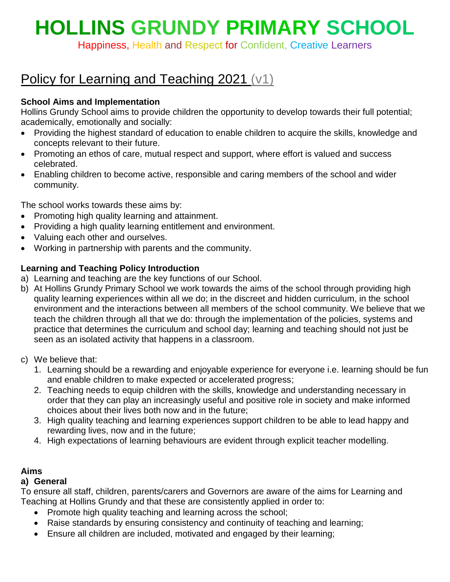# **HOLLINS GRUNDY PRIMARY SCHOOL**

Happiness, Health and Respect for Confident, Creative Learners

# Policy for Learning and Teaching 2021 (v1)

# **School Aims and Implementation**

Hollins Grundy School aims to provide children the opportunity to develop towards their full potential; academically, emotionally and socially:

- Providing the highest standard of education to enable children to acquire the skills, knowledge and concepts relevant to their future.
- Promoting an ethos of care, mutual respect and support, where effort is valued and success celebrated.
- Enabling children to become active, responsible and caring members of the school and wider community.

The school works towards these aims by:

- Promoting high quality learning and attainment.
- Providing a high quality learning entitlement and environment.
- Valuing each other and ourselves.
- Working in partnership with parents and the community.

# **Learning and Teaching Policy Introduction**

- a) Learning and teaching are the key functions of our School.
- b) At Hollins Grundy Primary School we work towards the aims of the school through providing high quality learning experiences within all we do; in the discreet and hidden curriculum, in the school environment and the interactions between all members of the school community. We believe that we teach the children through all that we do: through the implementation of the policies, systems and practice that determines the curriculum and school day; learning and teaching should not just be seen as an isolated activity that happens in a classroom.
- c) We believe that:
	- 1. Learning should be a rewarding and enjoyable experience for everyone i.e. learning should be fun and enable children to make expected or accelerated progress;
	- 2. Teaching needs to equip children with the skills, knowledge and understanding necessary in order that they can play an increasingly useful and positive role in society and make informed choices about their lives both now and in the future;
	- 3. High quality teaching and learning experiences support children to be able to lead happy and rewarding lives, now and in the future;
	- 4. High expectations of learning behaviours are evident through explicit teacher modelling.

# **Aims**

# **a) General**

To ensure all staff, children, parents/carers and Governors are aware of the aims for Learning and Teaching at Hollins Grundy and that these are consistently applied in order to:

- Promote high quality teaching and learning across the school;
- Raise standards by ensuring consistency and continuity of teaching and learning;
- Ensure all children are included, motivated and engaged by their learning;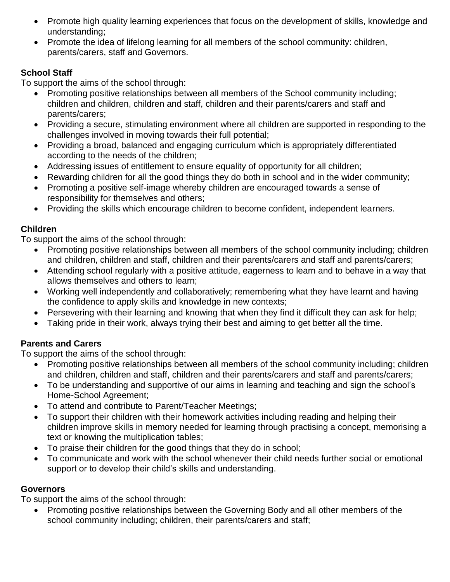- Promote high quality learning experiences that focus on the development of skills, knowledge and understanding;
- Promote the idea of lifelong learning for all members of the school community: children, parents/carers, staff and Governors.

# **School Staff**

To support the aims of the school through:

- Promoting positive relationships between all members of the School community including; children and children, children and staff, children and their parents/carers and staff and parents/carers;
- Providing a secure, stimulating environment where all children are supported in responding to the challenges involved in moving towards their full potential;
- Providing a broad, balanced and engaging curriculum which is appropriately differentiated according to the needs of the children;
- Addressing issues of entitlement to ensure equality of opportunity for all children;
- Rewarding children for all the good things they do both in school and in the wider community;
- Promoting a positive self-image whereby children are encouraged towards a sense of responsibility for themselves and others;
- Providing the skills which encourage children to become confident, independent learners.

# **Children**

To support the aims of the school through:

- Promoting positive relationships between all members of the school community including; children and children, children and staff, children and their parents/carers and staff and parents/carers;
- Attending school regularly with a positive attitude, eagerness to learn and to behave in a way that allows themselves and others to learn;
- Working well independently and collaboratively; remembering what they have learnt and having the confidence to apply skills and knowledge in new contexts;
- Persevering with their learning and knowing that when they find it difficult they can ask for help;
- Taking pride in their work, always trying their best and aiming to get better all the time.

# **Parents and Carers**

To support the aims of the school through:

- Promoting positive relationships between all members of the school community including; children and children, children and staff, children and their parents/carers and staff and parents/carers;
- To be understanding and supportive of our aims in learning and teaching and sign the school's Home-School Agreement;
- To attend and contribute to Parent/Teacher Meetings;
- To support their children with their homework activities including reading and helping their children improve skills in memory needed for learning through practising a concept, memorising a text or knowing the multiplication tables;
- To praise their children for the good things that they do in school;
- To communicate and work with the school whenever their child needs further social or emotional support or to develop their child's skills and understanding.

# **Governors**

To support the aims of the school through:

 Promoting positive relationships between the Governing Body and all other members of the school community including; children, their parents/carers and staff;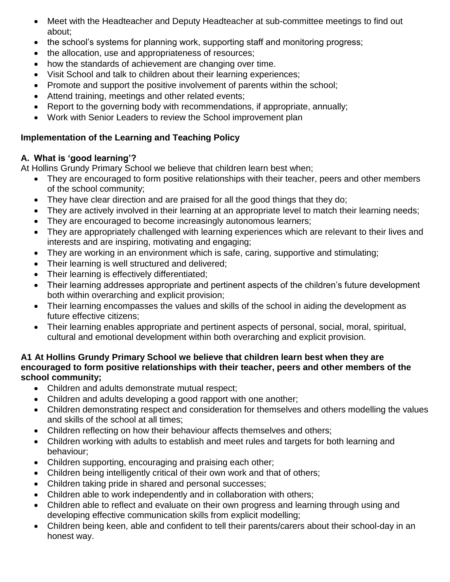- Meet with the Headteacher and Deputy Headteacher at sub-committee meetings to find out about;
- the school's systems for planning work, supporting staff and monitoring progress;
- the allocation, use and appropriateness of resources;
- how the standards of achievement are changing over time.
- Visit School and talk to children about their learning experiences;
- Promote and support the positive involvement of parents within the school;
- Attend training, meetings and other related events;
- Report to the governing body with recommendations, if appropriate, annually;
- Work with Senior Leaders to review the School improvement plan

# **Implementation of the Learning and Teaching Policy**

# **A. What is 'good learning'?**

At Hollins Grundy Primary School we believe that children learn best when;

- They are encouraged to form positive relationships with their teacher, peers and other members of the school community;
- They have clear direction and are praised for all the good things that they do;
- They are actively involved in their learning at an appropriate level to match their learning needs;
- They are encouraged to become increasingly autonomous learners;
- They are appropriately challenged with learning experiences which are relevant to their lives and interests and are inspiring, motivating and engaging;
- They are working in an environment which is safe, caring, supportive and stimulating;
- Their learning is well structured and delivered;
- Their learning is effectively differentiated;
- Their learning addresses appropriate and pertinent aspects of the children's future development both within overarching and explicit provision;
- Their learning encompasses the values and skills of the school in aiding the development as future effective citizens;
- Their learning enables appropriate and pertinent aspects of personal, social, moral, spiritual, cultural and emotional development within both overarching and explicit provision.

#### **A1 At Hollins Grundy Primary School we believe that children learn best when they are encouraged to form positive relationships with their teacher, peers and other members of the school community;**

- Children and adults demonstrate mutual respect;
- Children and adults developing a good rapport with one another;
- Children demonstrating respect and consideration for themselves and others modelling the values and skills of the school at all times;
- Children reflecting on how their behaviour affects themselves and others;
- Children working with adults to establish and meet rules and targets for both learning and behaviour;
- Children supporting, encouraging and praising each other;
- Children being intelligently critical of their own work and that of others;
- Children taking pride in shared and personal successes;
- Children able to work independently and in collaboration with others;
- Children able to reflect and evaluate on their own progress and learning through using and developing effective communication skills from explicit modelling;
- Children being keen, able and confident to tell their parents/carers about their school-day in an honest way.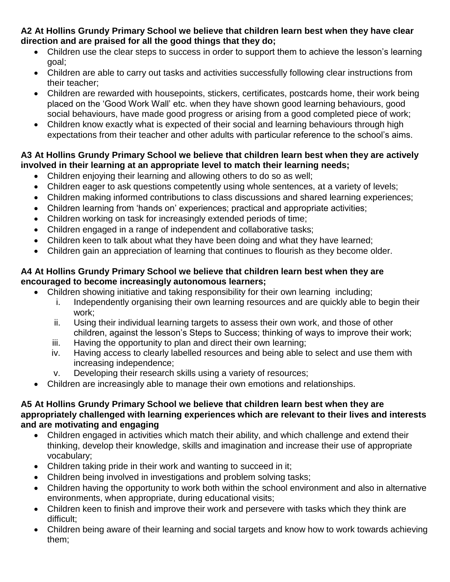**A2 At Hollins Grundy Primary School we believe that children learn best when they have clear direction and are praised for all the good things that they do;**

- Children use the clear steps to success in order to support them to achieve the lesson's learning goal;
- Children are able to carry out tasks and activities successfully following clear instructions from their teacher;
- Children are rewarded with housepoints, stickers, certificates, postcards home, their work being placed on the 'Good Work Wall' etc. when they have shown good learning behaviours, good social behaviours, have made good progress or arising from a good completed piece of work;
- Children know exactly what is expected of their social and learning behaviours through high expectations from their teacher and other adults with particular reference to the school's aims.

#### **A3 At Hollins Grundy Primary School we believe that children learn best when they are actively involved in their learning at an appropriate level to match their learning needs;**

- Children enjoying their learning and allowing others to do so as well;
- Children eager to ask questions competently using whole sentences, at a variety of levels;
- Children making informed contributions to class discussions and shared learning experiences;
- Children learning from 'hands on' experiences; practical and appropriate activities;
- Children working on task for increasingly extended periods of time;
- Children engaged in a range of independent and collaborative tasks;
- Children keen to talk about what they have been doing and what they have learned;
- Children gain an appreciation of learning that continues to flourish as they become older.

#### **A4 At Hollins Grundy Primary School we believe that children learn best when they are encouraged to become increasingly autonomous learners;**

- Children showing initiative and taking responsibility for their own learning including;
	- i. Independently organising their own learning resources and are quickly able to begin their work;
	- ii. Using their individual learning targets to assess their own work, and those of other children, against the lesson's Steps to Success; thinking of ways to improve their work;
	- iii. Having the opportunity to plan and direct their own learning;
	- iv. Having access to clearly labelled resources and being able to select and use them with increasing independence;
	- v. Developing their research skills using a variety of resources;
- Children are increasingly able to manage their own emotions and relationships.

#### **A5 At Hollins Grundy Primary School we believe that children learn best when they are appropriately challenged with learning experiences which are relevant to their lives and interests and are motivating and engaging**

- Children engaged in activities which match their ability, and which challenge and extend their thinking, develop their knowledge, skills and imagination and increase their use of appropriate vocabulary;
- Children taking pride in their work and wanting to succeed in it;
- Children being involved in investigations and problem solving tasks;
- Children having the opportunity to work both within the school environment and also in alternative environments, when appropriate, during educational visits;
- Children keen to finish and improve their work and persevere with tasks which they think are difficult;
- Children being aware of their learning and social targets and know how to work towards achieving them;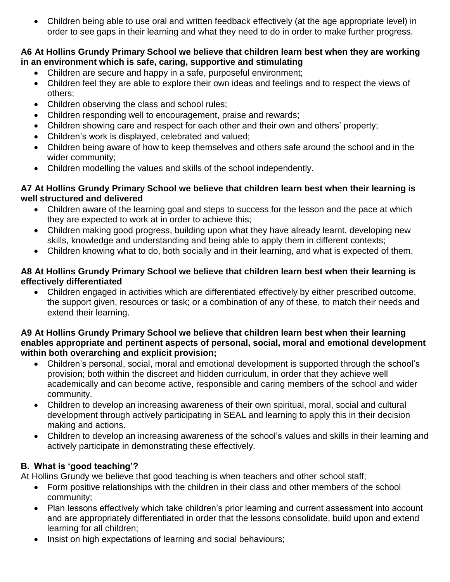Children being able to use oral and written feedback effectively (at the age appropriate level) in order to see gaps in their learning and what they need to do in order to make further progress.

#### **A6 At Hollins Grundy Primary School we believe that children learn best when they are working in an environment which is safe, caring, supportive and stimulating**

- Children are secure and happy in a safe, purposeful environment;
- Children feel they are able to explore their own ideas and feelings and to respect the views of others;
- Children observing the class and school rules;
- Children responding well to encouragement, praise and rewards;
- Children showing care and respect for each other and their own and others' property;
- Children's work is displayed, celebrated and valued;
- Children being aware of how to keep themselves and others safe around the school and in the wider community;
- Children modelling the values and skills of the school independently.

#### **A7 At Hollins Grundy Primary School we believe that children learn best when their learning is well structured and delivered**

- Children aware of the learning goal and steps to success for the lesson and the pace at which they are expected to work at in order to achieve this;
- Children making good progress, building upon what they have already learnt, developing new skills, knowledge and understanding and being able to apply them in different contexts;
- Children knowing what to do, both socially and in their learning, and what is expected of them.

# **A8 At Hollins Grundy Primary School we believe that children learn best when their learning is effectively differentiated**

 Children engaged in activities which are differentiated effectively by either prescribed outcome, the support given, resources or task; or a combination of any of these, to match their needs and extend their learning.

#### **A9 At Hollins Grundy Primary School we believe that children learn best when their learning enables appropriate and pertinent aspects of personal, social, moral and emotional development within both overarching and explicit provision;**

- Children's personal, social, moral and emotional development is supported through the school's provision; both within the discreet and hidden curriculum, in order that they achieve well academically and can become active, responsible and caring members of the school and wider community.
- Children to develop an increasing awareness of their own spiritual, moral, social and cultural development through actively participating in SEAL and learning to apply this in their decision making and actions.
- Children to develop an increasing awareness of the school's values and skills in their learning and actively participate in demonstrating these effectively.

# **B. What is 'good teaching'?**

At Hollins Grundy we believe that good teaching is when teachers and other school staff;

- Form positive relationships with the children in their class and other members of the school community;
- Plan lessons effectively which take children's prior learning and current assessment into account and are appropriately differentiated in order that the lessons consolidate, build upon and extend learning for all children;
- Insist on high expectations of learning and social behaviours;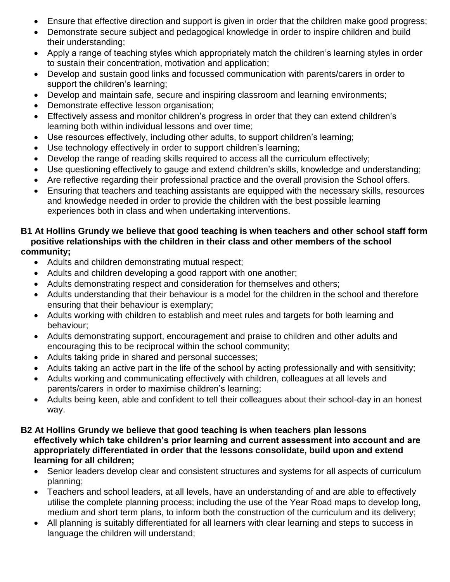- Ensure that effective direction and support is given in order that the children make good progress;
- Demonstrate secure subject and pedagogical knowledge in order to inspire children and build their understanding;
- Apply a range of teaching styles which appropriately match the children's learning styles in order to sustain their concentration, motivation and application;
- Develop and sustain good links and focussed communication with parents/carers in order to support the children's learning;
- Develop and maintain safe, secure and inspiring classroom and learning environments;
- Demonstrate effective lesson organisation;
- Effectively assess and monitor children's progress in order that they can extend children's learning both within individual lessons and over time;
- Use resources effectively, including other adults, to support children's learning;
- Use technology effectively in order to support children's learning;
- Develop the range of reading skills required to access all the curriculum effectively;
- Use questioning effectively to gauge and extend children's skills, knowledge and understanding;
- Are reflective regarding their professional practice and the overall provision the School offers.
- Ensuring that teachers and teaching assistants are equipped with the necessary skills, resources and knowledge needed in order to provide the children with the best possible learning experiences both in class and when undertaking interventions.

#### **B1 At Hollins Grundy we believe that good teaching is when teachers and other school staff form positive relationships with the children in their class and other members of the school community;**

- Adults and children demonstrating mutual respect;
- Adults and children developing a good rapport with one another;
- Adults demonstrating respect and consideration for themselves and others;
- Adults understanding that their behaviour is a model for the children in the school and therefore ensuring that their behaviour is exemplary;
- Adults working with children to establish and meet rules and targets for both learning and behaviour;
- Adults demonstrating support, encouragement and praise to children and other adults and encouraging this to be reciprocal within the school community;
- Adults taking pride in shared and personal successes;
- Adults taking an active part in the life of the school by acting professionally and with sensitivity;
- Adults working and communicating effectively with children, colleagues at all levels and parents/carers in order to maximise children's learning;
- Adults being keen, able and confident to tell their colleagues about their school-day in an honest way.

#### **B2 At Hollins Grundy we believe that good teaching is when teachers plan lessons effectively which take children's prior learning and current assessment into account and are appropriately differentiated in order that the lessons consolidate, build upon and extend learning for all children;**

- Senior leaders develop clear and consistent structures and systems for all aspects of curriculum planning;
- Teachers and school leaders, at all levels, have an understanding of and are able to effectively utilise the complete planning process; including the use of the Year Road maps to develop long, medium and short term plans, to inform both the construction of the curriculum and its delivery;
- All planning is suitably differentiated for all learners with clear learning and steps to success in language the children will understand;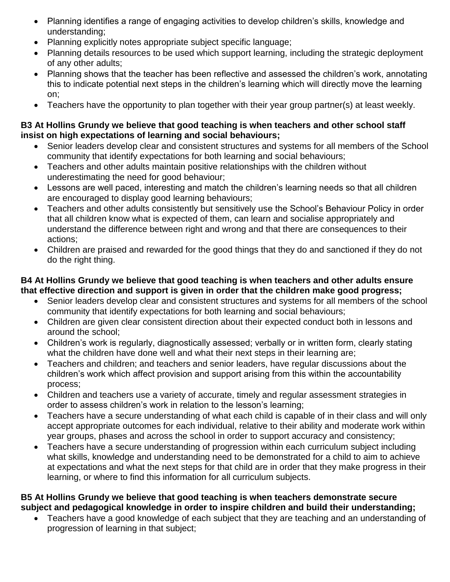- Planning identifies a range of engaging activities to develop children's skills, knowledge and understanding;
- Planning explicitly notes appropriate subject specific language;
- Planning details resources to be used which support learning, including the strategic deployment of any other adults;
- Planning shows that the teacher has been reflective and assessed the children's work, annotating this to indicate potential next steps in the children's learning which will directly move the learning on;
- Teachers have the opportunity to plan together with their year group partner(s) at least weekly.

#### **B3 At Hollins Grundy we believe that good teaching is when teachers and other school staff insist on high expectations of learning and social behaviours;**

- Senior leaders develop clear and consistent structures and systems for all members of the School community that identify expectations for both learning and social behaviours;
- Teachers and other adults maintain positive relationships with the children without underestimating the need for good behaviour;
- Lessons are well paced, interesting and match the children's learning needs so that all children are encouraged to display good learning behaviours;
- Teachers and other adults consistently but sensitively use the School's Behaviour Policy in order that all children know what is expected of them, can learn and socialise appropriately and understand the difference between right and wrong and that there are consequences to their actions;
- Children are praised and rewarded for the good things that they do and sanctioned if they do not do the right thing.

#### **B4 At Hollins Grundy we believe that good teaching is when teachers and other adults ensure that effective direction and support is given in order that the children make good progress;**

- Senior leaders develop clear and consistent structures and systems for all members of the school community that identify expectations for both learning and social behaviours;
- Children are given clear consistent direction about their expected conduct both in lessons and around the school;
- Children's work is regularly, diagnostically assessed; verbally or in written form, clearly stating what the children have done well and what their next steps in their learning are;
- Teachers and children; and teachers and senior leaders, have regular discussions about the children's work which affect provision and support arising from this within the accountability process;
- Children and teachers use a variety of accurate, timely and regular assessment strategies in order to assess children's work in relation to the lesson's learning;
- Teachers have a secure understanding of what each child is capable of in their class and will only accept appropriate outcomes for each individual, relative to their ability and moderate work within year groups, phases and across the school in order to support accuracy and consistency;
- Teachers have a secure understanding of progression within each curriculum subject including what skills, knowledge and understanding need to be demonstrated for a child to aim to achieve at expectations and what the next steps for that child are in order that they make progress in their learning, or where to find this information for all curriculum subjects.

#### **B5 At Hollins Grundy we believe that good teaching is when teachers demonstrate secure subject and pedagogical knowledge in order to inspire children and build their understanding;**

 Teachers have a good knowledge of each subject that they are teaching and an understanding of progression of learning in that subject;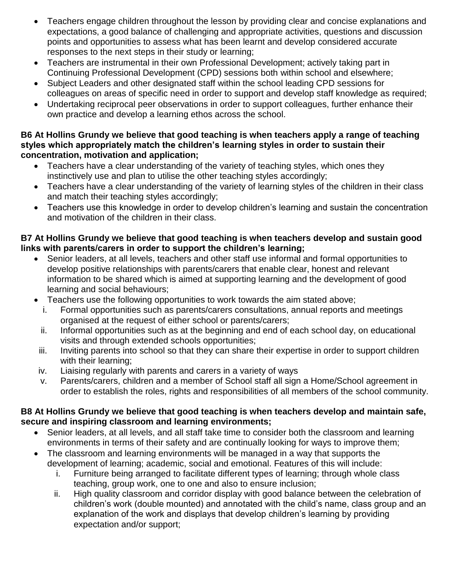- Teachers engage children throughout the lesson by providing clear and concise explanations and expectations, a good balance of challenging and appropriate activities, questions and discussion points and opportunities to assess what has been learnt and develop considered accurate responses to the next steps in their study or learning;
- Teachers are instrumental in their own Professional Development; actively taking part in Continuing Professional Development (CPD) sessions both within school and elsewhere;
- Subject Leaders and other designated staff within the school leading CPD sessions for colleagues on areas of specific need in order to support and develop staff knowledge as required;
- Undertaking reciprocal peer observations in order to support colleagues, further enhance their own practice and develop a learning ethos across the school.

#### **B6 At Hollins Grundy we believe that good teaching is when teachers apply a range of teaching styles which appropriately match the children's learning styles in order to sustain their concentration, motivation and application;**

- Teachers have a clear understanding of the variety of teaching styles, which ones they instinctively use and plan to utilise the other teaching styles accordingly;
- Teachers have a clear understanding of the variety of learning styles of the children in their class and match their teaching styles accordingly;
- Teachers use this knowledge in order to develop children's learning and sustain the concentration and motivation of the children in their class.

# **B7 At Hollins Grundy we believe that good teaching is when teachers develop and sustain good links with parents/carers in order to support the children's learning;**

- Senior leaders, at all levels, teachers and other staff use informal and formal opportunities to develop positive relationships with parents/carers that enable clear, honest and relevant information to be shared which is aimed at supporting learning and the development of good learning and social behaviours;
- Teachers use the following opportunities to work towards the aim stated above;
	- i. Formal opportunities such as parents/carers consultations, annual reports and meetings organised at the request of either school or parents/carers;
	- ii. Informal opportunities such as at the beginning and end of each school day, on educational visits and through extended schools opportunities;
	- iii. Inviting parents into school so that they can share their expertise in order to support children with their learning:
- iv. Liaising regularly with parents and carers in a variety of ways
- v. Parents/carers, children and a member of School staff all sign a Home/School agreement in order to establish the roles, rights and responsibilities of all members of the school community.

# **B8 At Hollins Grundy we believe that good teaching is when teachers develop and maintain safe, secure and inspiring classroom and learning environments;**

- Senior leaders, at all levels, and all staff take time to consider both the classroom and learning environments in terms of their safety and are continually looking for ways to improve them;
- The classroom and learning environments will be managed in a way that supports the development of learning; academic, social and emotional. Features of this will include:
	- i. Furniture being arranged to facilitate different types of learning; through whole class teaching, group work, one to one and also to ensure inclusion;
	- ii. High quality classroom and corridor display with good balance between the celebration of children's work (double mounted) and annotated with the child's name, class group and an explanation of the work and displays that develop children's learning by providing expectation and/or support;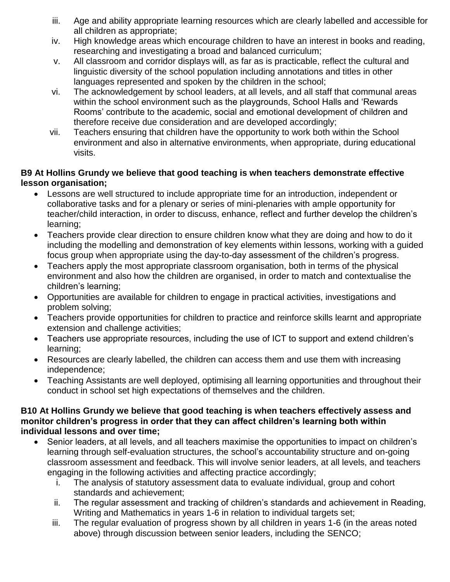- iii. Age and ability appropriate learning resources which are clearly labelled and accessible for all children as appropriate;
- iv. High knowledge areas which encourage children to have an interest in books and reading, researching and investigating a broad and balanced curriculum;
- v. All classroom and corridor displays will, as far as is practicable, reflect the cultural and linguistic diversity of the school population including annotations and titles in other languages represented and spoken by the children in the school;
- vi. The acknowledgement by school leaders, at all levels, and all staff that communal areas within the school environment such as the playgrounds, School Halls and 'Rewards Rooms' contribute to the academic, social and emotional development of children and therefore receive due consideration and are developed accordingly;
- vii. Teachers ensuring that children have the opportunity to work both within the School environment and also in alternative environments, when appropriate, during educational visits.

# **B9 At Hollins Grundy we believe that good teaching is when teachers demonstrate effective lesson organisation;**

- Lessons are well structured to include appropriate time for an introduction, independent or collaborative tasks and for a plenary or series of mini-plenaries with ample opportunity for teacher/child interaction, in order to discuss, enhance, reflect and further develop the children's learning;
- Teachers provide clear direction to ensure children know what they are doing and how to do it including the modelling and demonstration of key elements within lessons, working with a guided focus group when appropriate using the day-to-day assessment of the children's progress.
- Teachers apply the most appropriate classroom organisation, both in terms of the physical environment and also how the children are organised, in order to match and contextualise the children's learning;
- Opportunities are available for children to engage in practical activities, investigations and problem solving;
- Teachers provide opportunities for children to practice and reinforce skills learnt and appropriate extension and challenge activities;
- Teachers use appropriate resources, including the use of ICT to support and extend children's learning;
- Resources are clearly labelled, the children can access them and use them with increasing independence;
- Teaching Assistants are well deployed, optimising all learning opportunities and throughout their conduct in school set high expectations of themselves and the children.

#### **B10 At Hollins Grundy we believe that good teaching is when teachers effectively assess and monitor children's progress in order that they can affect children's learning both within individual lessons and over time;**

- Senior leaders, at all levels, and all teachers maximise the opportunities to impact on children's learning through self-evaluation structures, the school's accountability structure and on-going classroom assessment and feedback. This will involve senior leaders, at all levels, and teachers engaging in the following activities and affecting practice accordingly;
	- i. The analysis of statutory assessment data to evaluate individual, group and cohort standards and achievement;
	- ii. The regular assessment and tracking of children's standards and achievement in Reading, Writing and Mathematics in years 1-6 in relation to individual targets set;
	- iii. The regular evaluation of progress shown by all children in years 1-6 (in the areas noted above) through discussion between senior leaders, including the SENCO;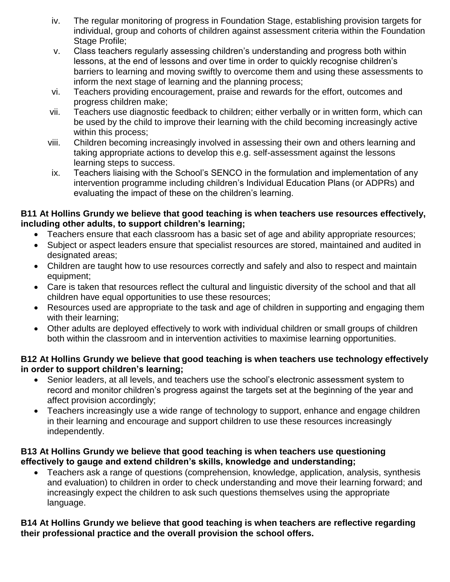- iv. The regular monitoring of progress in Foundation Stage, establishing provision targets for individual, group and cohorts of children against assessment criteria within the Foundation Stage Profile:
- v. Class teachers regularly assessing children's understanding and progress both within lessons, at the end of lessons and over time in order to quickly recognise children's barriers to learning and moving swiftly to overcome them and using these assessments to inform the next stage of learning and the planning process;
- vi. Teachers providing encouragement, praise and rewards for the effort, outcomes and progress children make;
- vii. Teachers use diagnostic feedback to children; either verbally or in written form, which can be used by the child to improve their learning with the child becoming increasingly active within this process;
- viii. Children becoming increasingly involved in assessing their own and others learning and taking appropriate actions to develop this e.g. self-assessment against the lessons learning steps to success.
- ix. Teachers liaising with the School's SENCO in the formulation and implementation of any intervention programme including children's Individual Education Plans (or ADPRs) and evaluating the impact of these on the children's learning.

#### **B11 At Hollins Grundy we believe that good teaching is when teachers use resources effectively, including other adults, to support children's learning;**

- Teachers ensure that each classroom has a basic set of age and ability appropriate resources;
- Subject or aspect leaders ensure that specialist resources are stored, maintained and audited in designated areas;
- Children are taught how to use resources correctly and safely and also to respect and maintain equipment;
- Care is taken that resources reflect the cultural and linguistic diversity of the school and that all children have equal opportunities to use these resources;
- Resources used are appropriate to the task and age of children in supporting and engaging them with their learning;
- Other adults are deployed effectively to work with individual children or small groups of children both within the classroom and in intervention activities to maximise learning opportunities.

#### **B12 At Hollins Grundy we believe that good teaching is when teachers use technology effectively in order to support children's learning;**

- Senior leaders, at all levels, and teachers use the school's electronic assessment system to record and monitor children's progress against the targets set at the beginning of the year and affect provision accordingly;
- Teachers increasingly use a wide range of technology to support, enhance and engage children in their learning and encourage and support children to use these resources increasingly independently.

#### **B13 At Hollins Grundy we believe that good teaching is when teachers use questioning effectively to gauge and extend children's skills, knowledge and understanding;**

 Teachers ask a range of questions (comprehension, knowledge, application, analysis, synthesis and evaluation) to children in order to check understanding and move their learning forward; and increasingly expect the children to ask such questions themselves using the appropriate language.

#### **B14 At Hollins Grundy we believe that good teaching is when teachers are reflective regarding their professional practice and the overall provision the school offers.**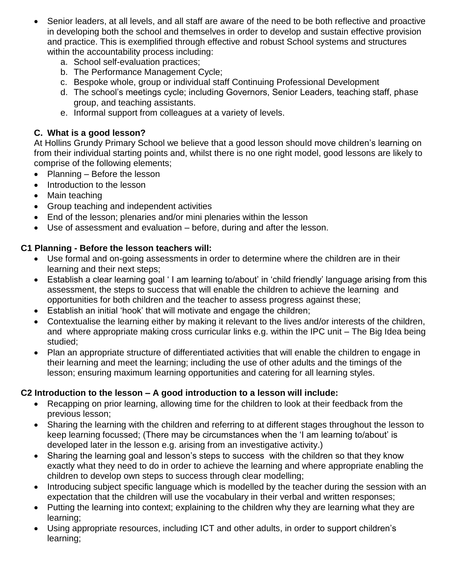- Senior leaders, at all levels, and all staff are aware of the need to be both reflective and proactive in developing both the school and themselves in order to develop and sustain effective provision and practice. This is exemplified through effective and robust School systems and structures within the accountability process including:
	- a. School self-evaluation practices;
	- b. The Performance Management Cycle;
	- c. Bespoke whole, group or individual staff Continuing Professional Development
	- d. The school's meetings cycle; including Governors, Senior Leaders, teaching staff, phase group, and teaching assistants.
	- e. Informal support from colleagues at a variety of levels.

# **C. What is a good lesson?**

At Hollins Grundy Primary School we believe that a good lesson should move children's learning on from their individual starting points and, whilst there is no one right model, good lessons are likely to comprise of the following elements;

- Planning Before the lesson
- Introduction to the lesson
- Main teaching
- Group teaching and independent activities
- End of the lesson; plenaries and/or mini plenaries within the lesson
- Use of assessment and evaluation before, during and after the lesson.

# **C1 Planning - Before the lesson teachers will:**

- Use formal and on-going assessments in order to determine where the children are in their learning and their next steps;
- Establish a clear learning goal ' I am learning to/about' in 'child friendly' language arising from this assessment, the steps to success that will enable the children to achieve the learning and opportunities for both children and the teacher to assess progress against these;
- Establish an initial 'hook' that will motivate and engage the children;
- Contextualise the learning either by making it relevant to the lives and/or interests of the children, and where appropriate making cross curricular links e.g. within the IPC unit – The Big Idea being studied;
- Plan an appropriate structure of differentiated activities that will enable the children to engage in their learning and meet the learning; including the use of other adults and the timings of the lesson; ensuring maximum learning opportunities and catering for all learning styles.

# **C2 Introduction to the lesson – A good introduction to a lesson will include:**

- Recapping on prior learning, allowing time for the children to look at their feedback from the previous lesson;
- Sharing the learning with the children and referring to at different stages throughout the lesson to keep learning focussed; (There may be circumstances when the 'I am learning to/about' is developed later in the lesson e.g. arising from an investigative activity.)
- Sharing the learning goal and lesson's steps to success with the children so that they know exactly what they need to do in order to achieve the learning and where appropriate enabling the children to develop own steps to success through clear modelling;
- Introducing subject specific language which is modelled by the teacher during the session with an expectation that the children will use the vocabulary in their verbal and written responses;
- Putting the learning into context; explaining to the children why they are learning what they are learning;
- Using appropriate resources, including ICT and other adults, in order to support children's learning;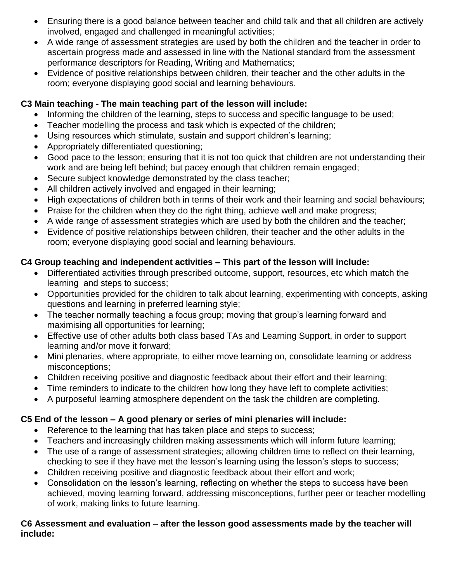- Ensuring there is a good balance between teacher and child talk and that all children are actively involved, engaged and challenged in meaningful activities;
- A wide range of assessment strategies are used by both the children and the teacher in order to ascertain progress made and assessed in line with the National standard from the assessment performance descriptors for Reading, Writing and Mathematics;
- Evidence of positive relationships between children, their teacher and the other adults in the room; everyone displaying good social and learning behaviours.

# **C3 Main teaching - The main teaching part of the lesson will include:**

- Informing the children of the learning, steps to success and specific language to be used;
- Teacher modelling the process and task which is expected of the children;
- Using resources which stimulate, sustain and support children's learning;
- Appropriately differentiated questioning;
- Good pace to the lesson; ensuring that it is not too quick that children are not understanding their work and are being left behind; but pacey enough that children remain engaged;
- Secure subject knowledge demonstrated by the class teacher;
- All children actively involved and engaged in their learning;
- High expectations of children both in terms of their work and their learning and social behaviours;
- Praise for the children when they do the right thing, achieve well and make progress;
- A wide range of assessment strategies which are used by both the children and the teacher;
- Evidence of positive relationships between children, their teacher and the other adults in the room; everyone displaying good social and learning behaviours.

# **C4 Group teaching and independent activities – This part of the lesson will include:**

- Differentiated activities through prescribed outcome, support, resources, etc which match the learning and steps to success;
- Opportunities provided for the children to talk about learning, experimenting with concepts, asking questions and learning in preferred learning style;
- The teacher normally teaching a focus group; moving that group's learning forward and maximising all opportunities for learning;
- Effective use of other adults both class based TAs and Learning Support, in order to support learning and/or move it forward;
- Mini plenaries, where appropriate, to either move learning on, consolidate learning or address misconceptions;
- Children receiving positive and diagnostic feedback about their effort and their learning;
- Time reminders to indicate to the children how long they have left to complete activities;
- A purposeful learning atmosphere dependent on the task the children are completing.

# **C5 End of the lesson – A good plenary or series of mini plenaries will include:**

- Reference to the learning that has taken place and steps to success;
- Teachers and increasingly children making assessments which will inform future learning;
- The use of a range of assessment strategies; allowing children time to reflect on their learning, checking to see if they have met the lesson's learning using the lesson's steps to success;
- Children receiving positive and diagnostic feedback about their effort and work;
- Consolidation on the lesson's learning, reflecting on whether the steps to success have been achieved, moving learning forward, addressing misconceptions, further peer or teacher modelling of work, making links to future learning.

#### **C6 Assessment and evaluation – after the lesson good assessments made by the teacher will include:**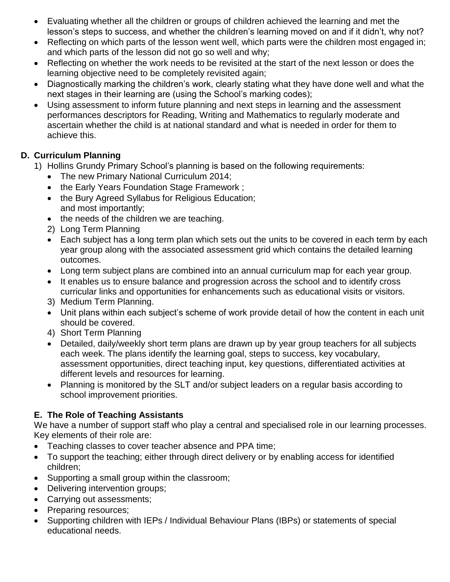- Evaluating whether all the children or groups of children achieved the learning and met the lesson's steps to success, and whether the children's learning moved on and if it didn't, why not?
- Reflecting on which parts of the lesson went well, which parts were the children most engaged in; and which parts of the lesson did not go so well and why;
- Reflecting on whether the work needs to be revisited at the start of the next lesson or does the learning objective need to be completely revisited again;
- Diagnostically marking the children's work, clearly stating what they have done well and what the next stages in their learning are (using the School's marking codes);
- Using assessment to inform future planning and next steps in learning and the assessment performances descriptors for Reading, Writing and Mathematics to regularly moderate and ascertain whether the child is at national standard and what is needed in order for them to achieve this.

# **D. Curriculum Planning**

- 1) Hollins Grundy Primary School's planning is based on the following requirements:
	- The new Primary National Curriculum 2014;
	- the Early Years Foundation Stage Framework ;
	- the Bury Agreed Syllabus for Religious Education; and most importantly;
	- the needs of the children we are teaching.
	- 2) Long Term Planning
	- Each subject has a long term plan which sets out the units to be covered in each term by each year group along with the associated assessment grid which contains the detailed learning outcomes.
	- Long term subject plans are combined into an annual curriculum map for each year group.
	- It enables us to ensure balance and progression across the school and to identify cross curricular links and opportunities for enhancements such as educational visits or visitors.
	- 3) Medium Term Planning.
	- Unit plans within each subject's scheme of work provide detail of how the content in each unit should be covered.
	- 4) Short Term Planning
	- Detailed, daily/weekly short term plans are drawn up by year group teachers for all subjects each week. The plans identify the learning goal, steps to success, key vocabulary, assessment opportunities, direct teaching input, key questions, differentiated activities at different levels and resources for learning.
	- Planning is monitored by the SLT and/or subject leaders on a regular basis according to school improvement priorities.

# **E. The Role of Teaching Assistants**

We have a number of support staff who play a central and specialised role in our learning processes. Key elements of their role are:

- Teaching classes to cover teacher absence and PPA time;
- To support the teaching; either through direct delivery or by enabling access for identified children;
- Supporting a small group within the classroom;
- Delivering intervention groups;
- Carrying out assessments;
- Preparing resources;
- Supporting children with IEPs / Individual Behaviour Plans (IBPs) or statements of special educational needs.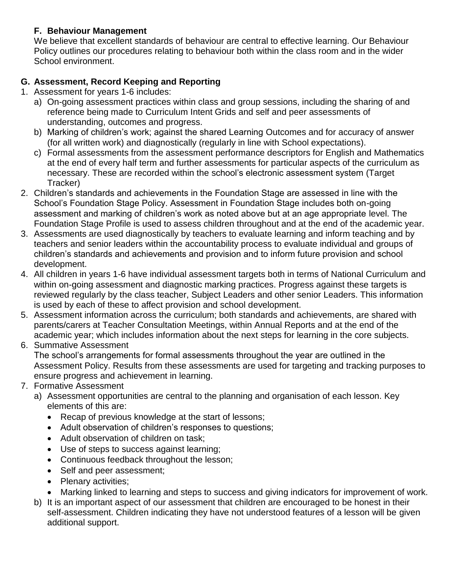# **F. Behaviour Management**

We believe that excellent standards of behaviour are central to effective learning. Our Behaviour Policy outlines our procedures relating to behaviour both within the class room and in the wider School environment.

# **G. Assessment, Record Keeping and Reporting**

- 1. Assessment for years 1-6 includes:
	- a) On-going assessment practices within class and group sessions, including the sharing of and reference being made to Curriculum Intent Grids and self and peer assessments of understanding, outcomes and progress.
	- b) Marking of children's work; against the shared Learning Outcomes and for accuracy of answer (for all written work) and diagnostically (regularly in line with School expectations).
	- c) Formal assessments from the assessment performance descriptors for English and Mathematics at the end of every half term and further assessments for particular aspects of the curriculum as necessary. These are recorded within the school's electronic assessment system (Target Tracker)
- 2. Children's standards and achievements in the Foundation Stage are assessed in line with the School's Foundation Stage Policy. Assessment in Foundation Stage includes both on-going assessment and marking of children's work as noted above but at an age appropriate level. The Foundation Stage Profile is used to assess children throughout and at the end of the academic year.
- 3. Assessments are used diagnostically by teachers to evaluate learning and inform teaching and by teachers and senior leaders within the accountability process to evaluate individual and groups of children's standards and achievements and provision and to inform future provision and school development.
- 4. All children in years 1-6 have individual assessment targets both in terms of National Curriculum and within on-going assessment and diagnostic marking practices. Progress against these targets is reviewed regularly by the class teacher, Subject Leaders and other senior Leaders. This information is used by each of these to affect provision and school development.
- 5. Assessment information across the curriculum; both standards and achievements, are shared with parents/carers at Teacher Consultation Meetings, within Annual Reports and at the end of the academic year; which includes information about the next steps for learning in the core subjects.
- 6. Summative Assessment

The school's arrangements for formal assessments throughout the year are outlined in the Assessment Policy. Results from these assessments are used for targeting and tracking purposes to ensure progress and achievement in learning.

- 7. Formative Assessment
	- a) Assessment opportunities are central to the planning and organisation of each lesson. Key elements of this are:
		- Recap of previous knowledge at the start of lessons;
		- Adult observation of children's responses to questions;
		- Adult observation of children on task:
		- Use of steps to success against learning;
		- Continuous feedback throughout the lesson;
		- Self and peer assessment;
		- Plenary activities;
		- Marking linked to learning and steps to success and giving indicators for improvement of work.
	- b) It is an important aspect of our assessment that children are encouraged to be honest in their self-assessment. Children indicating they have not understood features of a lesson will be given additional support.